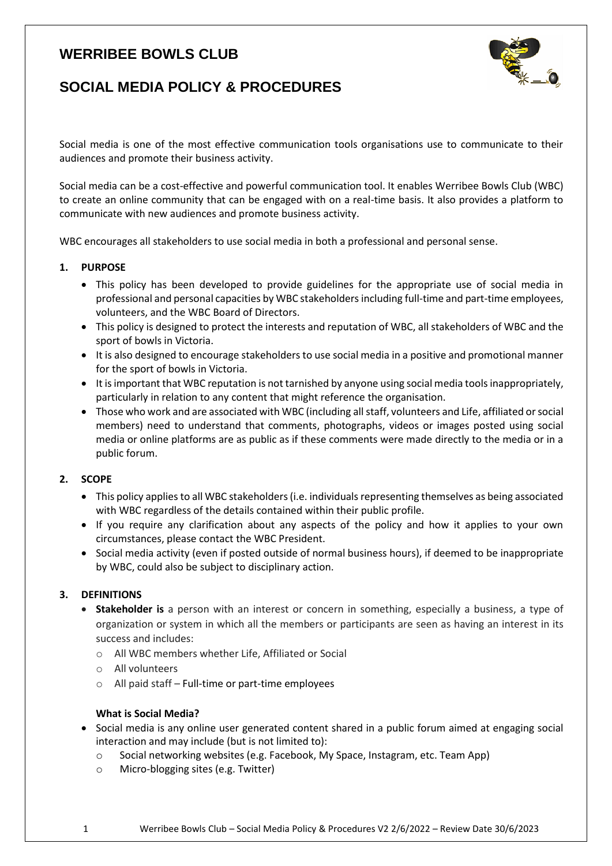## **WERRIBEE BOWLS CLUB**



# **SOCIAL MEDIA POLICY & PROCEDURES**

Social media is one of the most effective communication tools organisations use to communicate to their audiences and promote their business activity.

Social media can be a cost-effective and powerful communication tool. It enables Werribee Bowls Club (WBC) to create an online community that can be engaged with on a real-time basis. It also provides a platform to communicate with new audiences and promote business activity.

WBC encourages all stakeholders to use social media in both a professional and personal sense.

#### **1. PURPOSE**

- This policy has been developed to provide guidelines for the appropriate use of social media in professional and personal capacities by WBC stakeholders including full-time and part-time employees, volunteers, and the WBC Board of Directors.
- This policy is designed to protect the interests and reputation of WBC, all stakeholders of WBC and the sport of bowls in Victoria.
- It is also designed to encourage stakeholders to use social media in a positive and promotional manner for the sport of bowls in Victoria.
- $\bullet$  It is important that WBC reputation is not tarnished by anyone using social media tools inappropriately, particularly in relation to any content that might reference the organisation.
- Those who work and are associated with WBC (including all staff, volunteers and Life, affiliated or social members) need to understand that comments, photographs, videos or images posted using social media or online platforms are as public as if these comments were made directly to the media or in a public forum.

#### **2. SCOPE**

- This policy applies to all WBC stakeholders (i.e. individuals representing themselves as being associated with WBC regardless of the details contained within their public profile.
- If you require any clarification about any aspects of the policy and how it applies to your own circumstances, please contact the WBC President.
- Social media activity (even if posted outside of normal business hours), if deemed to be inappropriate by WBC, could also be subject to disciplinary action.

### **3. DEFINITIONS**

- **Stakeholder is** a person with an interest or concern in something, especially a business, a type of organization or system in which all the members or participants are seen as having an interest in its success and includes:
	- o All WBC members whether Life, Affiliated or Social
	- o All volunteers
	- $\circ$  All paid staff Full-time or part-time employees

#### **What is Social Media?**

- Social media is any online user generated content shared in a public forum aimed at engaging social interaction and may include (but is not limited to):
	- o Social networking websites (e.g. Facebook, My Space, Instagram, etc. Team App)
	- o Micro-blogging sites (e.g. Twitter)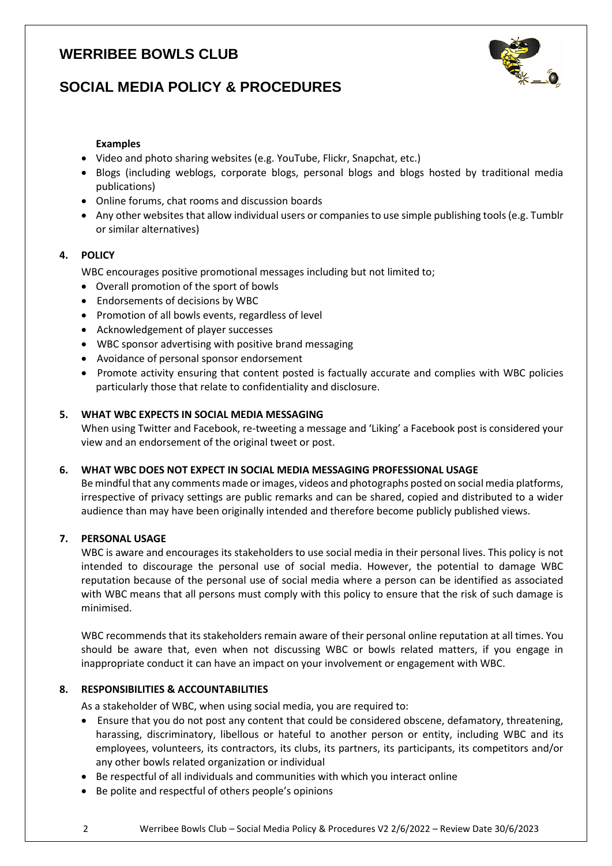## **WERRIBEE BOWLS CLUB**



# **SOCIAL MEDIA POLICY & PROCEDURES**

### **Examples**

- Video and photo sharing websites (e.g. YouTube, Flickr, Snapchat, etc.)
- Blogs (including weblogs, corporate blogs, personal blogs and blogs hosted by traditional media publications)
- Online forums, chat rooms and discussion boards
- Any other websites that allow individual users or companies to use simple publishing tools (e.g. Tumblr or similar alternatives)

### **4. POLICY**

WBC encourages positive promotional messages including but not limited to;

- Overall promotion of the sport of bowls
- Endorsements of decisions by WBC
- Promotion of all bowls events, regardless of level
- Acknowledgement of player successes
- WBC sponsor advertising with positive brand messaging
- Avoidance of personal sponsor endorsement
- Promote activity ensuring that content posted is factually accurate and complies with WBC policies particularly those that relate to confidentiality and disclosure.

#### **5. WHAT WBC EXPECTS IN SOCIAL MEDIA MESSAGING**

When using Twitter and Facebook, re-tweeting a message and 'Liking' a Facebook post is considered your view and an endorsement of the original tweet or post.

#### **6. WHAT WBC DOES NOT EXPECT IN SOCIAL MEDIA MESSAGING PROFESSIONAL USAGE**

Be mindful that any comments made or images, videos and photographs posted on social media platforms, irrespective of privacy settings are public remarks and can be shared, copied and distributed to a wider audience than may have been originally intended and therefore become publicly published views.

#### **7. PERSONAL USAGE**

WBC is aware and encourages its stakeholders to use social media in their personal lives. This policy is not intended to discourage the personal use of social media. However, the potential to damage WBC reputation because of the personal use of social media where a person can be identified as associated with WBC means that all persons must comply with this policy to ensure that the risk of such damage is minimised.

WBC recommends that its stakeholders remain aware of their personal online reputation at all times. You should be aware that, even when not discussing WBC or bowls related matters, if you engage in inappropriate conduct it can have an impact on your involvement or engagement with WBC.

#### **8. RESPONSIBILITIES & ACCOUNTABILITIES**

As a stakeholder of WBC, when using social media, you are required to:

- Ensure that you do not post any content that could be considered obscene, defamatory, threatening, harassing, discriminatory, libellous or hateful to another person or entity, including WBC and its employees, volunteers, its contractors, its clubs, its partners, its participants, its competitors and/or any other bowls related organization or individual
- Be respectful of all individuals and communities with which you interact online
- Be polite and respectful of others people's opinions